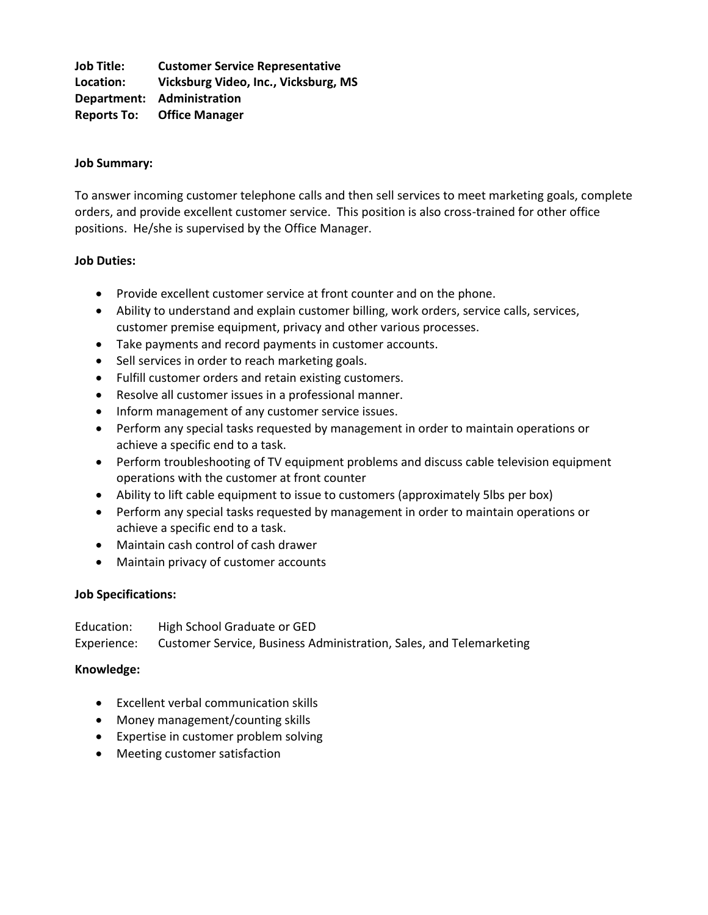**Job Title: Customer Service Representative Location: Vicksburg Video, Inc., Vicksburg, MS Department: Administration Reports To: Office Manager**

### **Job Summary:**

To answer incoming customer telephone calls and then sell services to meet marketing goals, complete orders, and provide excellent customer service. This position is also cross-trained for other office positions. He/she is supervised by the Office Manager.

#### **Job Duties:**

- Provide excellent customer service at front counter and on the phone.
- Ability to understand and explain customer billing, work orders, service calls, services, customer premise equipment, privacy and other various processes.
- Take payments and record payments in customer accounts.
- Sell services in order to reach marketing goals.
- Fulfill customer orders and retain existing customers.
- Resolve all customer issues in a professional manner.
- Inform management of any customer service issues.
- Perform any special tasks requested by management in order to maintain operations or achieve a specific end to a task.
- Perform troubleshooting of TV equipment problems and discuss cable television equipment operations with the customer at front counter
- Ability to lift cable equipment to issue to customers (approximately 5lbs per box)
- Perform any special tasks requested by management in order to maintain operations or achieve a specific end to a task.
- Maintain cash control of cash drawer
- Maintain privacy of customer accounts

# **Job Specifications:**

Education: High School Graduate or GED Experience: Customer Service, Business Administration, Sales, and Telemarketing

# **Knowledge:**

- Excellent verbal communication skills
- Money management/counting skills
- Expertise in customer problem solving
- Meeting customer satisfaction